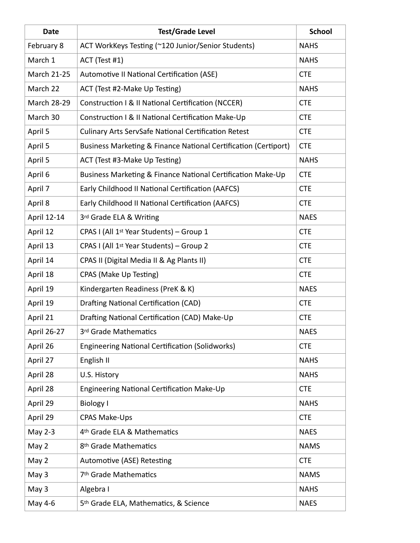| <b>Date</b>        | <b>Test/Grade Level</b>                                         | <b>School</b> |
|--------------------|-----------------------------------------------------------------|---------------|
| February 8         | ACT WorkKeys Testing (~120 Junior/Senior Students)              | <b>NAHS</b>   |
| March 1            | ACT (Test #1)                                                   | <b>NAHS</b>   |
| March 21-25        | Automotive II National Certification (ASE)                      | <b>CTE</b>    |
| March 22           | ACT (Test #2-Make Up Testing)                                   | <b>NAHS</b>   |
| <b>March 28-29</b> | Construction I & II National Certification (NCCER)              | <b>CTE</b>    |
| March 30           | Construction I & II National Certification Make-Up              | <b>CTE</b>    |
| April 5            | <b>Culinary Arts ServSafe National Certification Retest</b>     | <b>CTE</b>    |
| April 5            | Business Marketing & Finance National Certification (Certiport) | <b>CTE</b>    |
| April 5            | ACT (Test #3-Make Up Testing)                                   | <b>NAHS</b>   |
| April 6            | Business Marketing & Finance National Certification Make-Up     | <b>CTE</b>    |
| April 7            | Early Childhood II National Certification (AAFCS)               | <b>CTE</b>    |
| April 8            | Early Childhood II National Certification (AAFCS)               | <b>CTE</b>    |
| April 12-14        | 3rd Grade ELA & Writing                                         | <b>NAES</b>   |
| April 12           | CPAS I (All 1 <sup>st</sup> Year Students) - Group 1            | <b>CTE</b>    |
| April 13           | CPAS I (All 1 <sup>st</sup> Year Students) - Group 2            | <b>CTE</b>    |
| April 14           | CPAS II (Digital Media II & Ag Plants II)                       | <b>CTE</b>    |
| April 18           | CPAS (Make Up Testing)                                          | <b>CTE</b>    |
| April 19           | Kindergarten Readiness (PreK & K)                               | <b>NAES</b>   |
| April 19           | <b>Drafting National Certification (CAD)</b>                    | <b>CTE</b>    |
| April 21           | Drafting National Certification (CAD) Make-Up                   | <b>CTE</b>    |
| April 26-27        | 3rd Grade Mathematics                                           | <b>NAES</b>   |
| April 26           | <b>Engineering National Certification (Solidworks)</b>          | <b>CTE</b>    |
| April 27           | English II                                                      | <b>NAHS</b>   |
| April 28           | U.S. History                                                    | <b>NAHS</b>   |
| April 28           | <b>Engineering National Certification Make-Up</b>               | <b>CTE</b>    |
| April 29           | <b>Biology I</b>                                                | <b>NAHS</b>   |
| April 29           | CPAS Make-Ups                                                   | <b>CTE</b>    |
| May 2-3            | 4 <sup>th</sup> Grade ELA & Mathematics                         | <b>NAES</b>   |
| May 2              | 8th Grade Mathematics                                           | <b>NAMS</b>   |
| May 2              | Automotive (ASE) Retesting                                      | <b>CTE</b>    |
| May 3              | 7 <sup>th</sup> Grade Mathematics                               | <b>NAMS</b>   |
| May 3              | Algebra I                                                       | <b>NAHS</b>   |
| May 4-6            | 5 <sup>th</sup> Grade ELA, Mathematics, & Science               | <b>NAES</b>   |